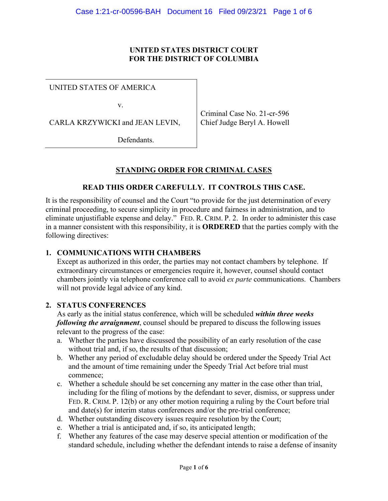### **UNITED STATES DISTRICT COURT FOR THE DISTRICT OF COLUMBIA**

### UNITED STATES OF AMERICA

v.

CARLA KRZYWICKI and JEAN LEVIN,

Criminal Case No. 21-cr-596 Chief Judge Beryl A. Howell

Defendants.

## **STANDING ORDER FOR CRIMINAL CASES**

### **READ THIS ORDER CAREFULLY. IT CONTROLS THIS CASE.**

It is the responsibility of counsel and the Court "to provide for the just determination of every criminal proceeding, to secure simplicity in procedure and fairness in administration, and to eliminate unjustifiable expense and delay." FED. R. CRIM. P. 2. In order to administer this case in a manner consistent with this responsibility, it is **ORDERED** that the parties comply with the following directives:

### **1. COMMUNICATIONS WITH CHAMBERS**

Except as authorized in this order, the parties may not contact chambers by telephone. If extraordinary circumstances or emergencies require it, however, counsel should contact chambers jointly via telephone conference call to avoid *ex parte* communications. Chambers will not provide legal advice of any kind.

### **2. STATUS CONFERENCES**

As early as the initial status conference, which will be scheduled *within three weeks following the arraignment*, counsel should be prepared to discuss the following issues relevant to the progress of the case:

- a. Whether the parties have discussed the possibility of an early resolution of the case without trial and, if so, the results of that discussion;
- b. Whether any period of excludable delay should be ordered under the Speedy Trial Act and the amount of time remaining under the Speedy Trial Act before trial must commence;
- c. Whether a schedule should be set concerning any matter in the case other than trial, including for the filing of motions by the defendant to sever, dismiss, or suppress under FED. R. CRIM. P. 12(b) or any other motion requiring a ruling by the Court before trial and date(s) for interim status conferences and/or the pre-trial conference;
- d. Whether outstanding discovery issues require resolution by the Court;
- e. Whether a trial is anticipated and, if so, its anticipated length;
- f. Whether any features of the case may deserve special attention or modification of the standard schedule, including whether the defendant intends to raise a defense of insanity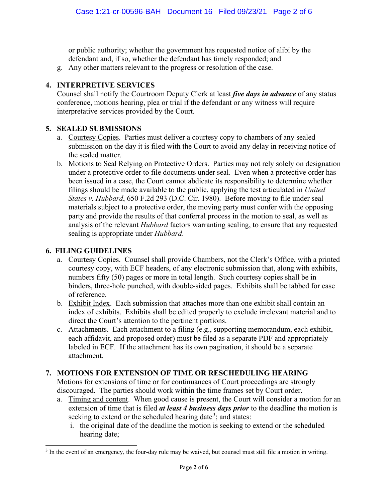or public authority; whether the government has requested notice of alibi by the defendant and, if so, whether the defendant has timely responded; and

g. Any other matters relevant to the progress or resolution of the case.

## **4. INTERPRETIVE SERVICES**

Counsel shall notify the Courtroom Deputy Clerk at least *five days in advance* of any status conference, motions hearing, plea or trial if the defendant or any witness will require interpretative services provided by the Court.

## **5. SEALED SUBMISSIONS**

- a. Courtesy Copies. Parties must deliver a courtesy copy to chambers of any sealed submission on the day it is filed with the Court to avoid any delay in receiving notice of the sealed matter.
- b. Motions to Seal Relying on Protective Orders. Parties may not rely solely on designation under a protective order to file documents under seal. Even when a protective order has been issued in a case, the Court cannot abdicate its responsibility to determine whether filings should be made available to the public, applying the test articulated in *United States v. Hubbard*, 650 F.2d 293 (D.C. Cir. 1980). Before moving to file under seal materials subject to a protective order, the moving party must confer with the opposing party and provide the results of that conferral process in the motion to seal, as well as analysis of the relevant *Hubbard* factors warranting sealing, to ensure that any requested sealing is appropriate under *Hubbard*.

## **6. FILING GUIDELINES**

- a. Courtesy Copies. Counsel shall provide Chambers, not the Clerk's Office, with a printed courtesy copy, with ECF headers, of any electronic submission that, along with exhibits, numbers fifty (50) pages or more in total length. Such courtesy copies shall be in binders, three-hole punched, with double-sided pages. Exhibits shall be tabbed for ease of reference.
- b. Exhibit Index. Each submission that attaches more than one exhibit shall contain an index of exhibits. Exhibits shall be edited properly to exclude irrelevant material and to direct the Court's attention to the pertinent portions.
- c. Attachments. Each attachment to a filing (e.g., supporting memorandum, each exhibit, each affidavit, and proposed order) must be filed as a separate PDF and appropriately labeled in ECF. If the attachment has its own pagination, it should be a separate attachment.

# **7. MOTIONS FOR EXTENSION OF TIME OR RESCHEDULING HEARING**

Motions for extensions of time or for continuances of Court proceedings are strongly discouraged. The parties should work within the time frames set by Court order.

- a. Timing and content. When good cause is present, the Court will consider a motion for an extension of time that is filed *at least 4 business days prior* to the deadline the motion is seeking to extend or the scheduled hearing date<sup>3</sup>; and states:
	- i. the original date of the deadline the motion is seeking to extend or the scheduled hearing date;

<sup>&</sup>lt;sup>3</sup> In the event of an emergency, the four-day rule may be waived, but counsel must still file a motion in writing.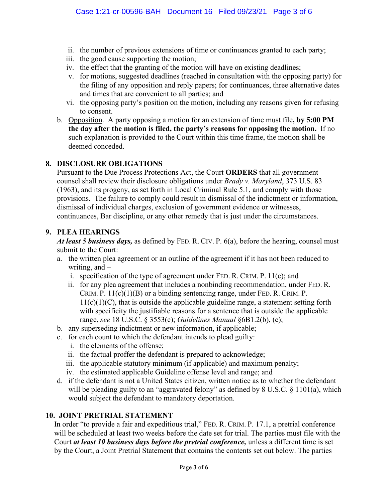- ii. the number of previous extensions of time or continuances granted to each party;
- iii. the good cause supporting the motion;
- iv. the effect that the granting of the motion will have on existing deadlines;
- v. for motions, suggested deadlines (reached in consultation with the opposing party) for the filing of any opposition and reply papers; for continuances, three alternative dates and times that are convenient to all parties; and
- vi. the opposing party's position on the motion, including any reasons given for refusing to consent.
- b. Opposition. A party opposing a motion for an extension of time must file**, by 5:00 PM the day after the motion is filed, the party's reasons for opposing the motion.** If no such explanation is provided to the Court within this time frame, the motion shall be deemed conceded.

## **8. DISCLOSURE OBLIGATIONS**

Pursuant to the Due Process Protections Act, the Court **ORDERS** that all government counsel shall review their disclosure obligations under *Brady v. Maryland*, 373 U.S. 83 (1963), and its progeny, as set forth in Local Criminal Rule 5.1, and comply with those provisions. The failure to comply could result in dismissal of the indictment or information, dismissal of individual charges, exclusion of government evidence or witnesses, continuances, Bar discipline, or any other remedy that is just under the circumstances.

### **9. PLEA HEARINGS**

*At least 5 business days,* as defined by FED. R. CIV. P. 6(a), before the hearing, counsel must submit to the Court:

- a. the written plea agreement or an outline of the agreement if it has not been reduced to writing, and –
	- i. specification of the type of agreement under FED. R. CRIM. P. 11(c); and
	- ii. for any plea agreement that includes a nonbinding recommendation, under FED. R. CRIM. P.  $11(c)(1)(B)$  or a binding sentencing range, under FED. R. CRIM. P.  $11(c)(1)(C)$ , that is outside the applicable guideline range, a statement setting forth with specificity the justifiable reasons for a sentence that is outside the applicable range, *see* 18 U.S.C. § 3553(c); *Guidelines Manual* §6B1.2(b), (c);
- b. any superseding indictment or new information, if applicable;
- c. for each count to which the defendant intends to plead guilty:
	- i. the elements of the offense;
	- ii. the factual proffer the defendant is prepared to acknowledge;
	- iii. the applicable statutory minimum (if applicable) and maximum penalty;
	- iv. the estimated applicable Guideline offense level and range; and
- d. if the defendant is not a United States citizen, written notice as to whether the defendant will be pleading guilty to an "aggravated felony" as defined by 8 U.S.C. § 1101(a), which would subject the defendant to mandatory deportation.

## **10. JOINT PRETRIAL STATEMENT**

In order "to provide a fair and expeditious trial," FED. R. CRIM. P. 17.1, a pretrial conference will be scheduled at least two weeks before the date set for trial. The parties must file with the Court *at least 10 business days before the pretrial conference,* unless a different time is set by the Court, a Joint Pretrial Statement that contains the contents set out below. The parties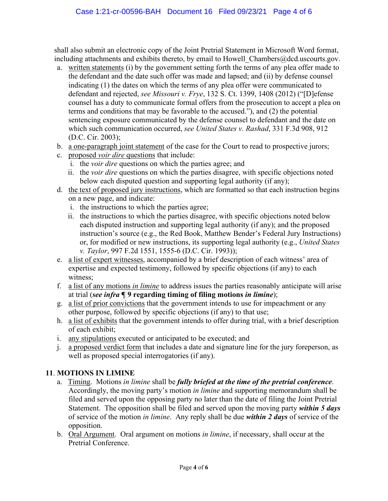shall also submit an electronic copy of the Joint Pretrial Statement in Microsoft Word format, including attachments and exhibits thereto, by email to Howell Chambers@dcd.uscourts.gov.

- a. written statements (i) by the government setting forth the terms of any plea offer made to the defendant and the date such offer was made and lapsed; and (ii) by defense counsel indicating (1) the dates on which the terms of any plea offer were communicated to defendant and rejected, *see Missouri v. Frye*, 132 S. Ct. 1399, 1408 (2012) ("[D]efense counsel has a duty to communicate formal offers from the prosecution to accept a plea on terms and conditions that may be favorable to the accused."), and (2) the potential sentencing exposure communicated by the defense counsel to defendant and the date on which such communication occurred, *see United States v. Rashad*, 331 F.3d 908, 912 (D.C. Cir. 2003);
- b. a one-paragraph joint statement of the case for the Court to read to prospective jurors;
- c. proposed *voir dire* questions that include:
	- i. the *voir dire* questions on which the parties agree; and
	- ii. the *voir dire* questions on which the parties disagree, with specific objections noted below each disputed question and supporting legal authority (if any);
- d. the text of proposed jury instructions, which are formatted so that each instruction begins on a new page, and indicate:
	- i. the instructions to which the parties agree;
	- ii. the instructions to which the parties disagree, with specific objections noted below each disputed instruction and supporting legal authority (if any); and the proposed instruction's source (e.g., the Red Book, Matthew Bender's Federal Jury Instructions) or, for modified or new instructions, its supporting legal authority (e.g., *United States v. Taylor*, 997 F.2d 1551, 1555-6 (D.C. Cir. 1993));
- e. a list of expert witnesses, accompanied by a brief description of each witness' area of expertise and expected testimony, followed by specific objections (if any) to each witness;
- f. a list of any motions *in limine* to address issues the parties reasonably anticipate will arise at trial (*see infra* **¶ 9 regarding timing of filing motions** *in limine*);
- g. a list of prior convictions that the government intends to use for impeachment or any other purpose, followed by specific objections (if any) to that use;
- h. a list of exhibits that the government intends to offer during trial, with a brief description of each exhibit;
- i. any stipulations executed or anticipated to be executed; and
- j. a proposed verdict form that includes a date and signature line for the jury foreperson, as well as proposed special interrogatories (if any).

# **11**. **MOTIONS IN LIMINE**

- a. Timing.Motions *in limine* shall be *fully briefed at the time of the pretrial conference*. Accordingly, the moving party's motion *in limine* and supporting memorandum shall be filed and served upon the opposing party no later than the date of filing the Joint Pretrial Statement. The opposition shall be filed and served upon the moving party *within 5 days* of service of the motion *in limine*. Any reply shall be due *within 2 days* of service of the opposition.
- b. Oral Argument. Oral argument on motions *in limine*, if necessary, shall occur at the Pretrial Conference.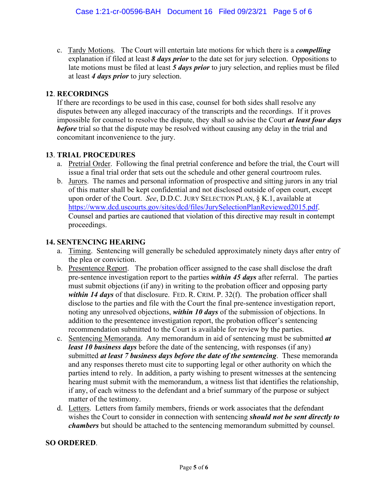c. Tardy Motions. The Court will entertain late motions for which there is a *compelling* explanation if filed at least *8 days prior* to the date set for jury selection. Oppositions to late motions must be filed at least *5 days prior* to jury selection, and replies must be filed at least *4 days prior* to jury selection.

## **12**. **RECORDINGS**

If there are recordings to be used in this case, counsel for both sides shall resolve any disputes between any alleged inaccuracy of the transcripts and the recordings. If it proves impossible for counsel to resolve the dispute, they shall so advise the Court *at least four days before* trial so that the dispute may be resolved without causing any delay in the trial and concomitant inconvenience to the jury.

## **13**. **TRIAL PROCEDURES**

- a. Pretrial Order. Following the final pretrial conference and before the trial, the Court will issue a final trial order that sets out the schedule and other general courtroom rules.
- b. Jurors. The names and personal information of prospective and sitting jurors in any trial of this matter shall be kept confidential and not disclosed outside of open court, except upon order of the Court. *See*, D.D.C. JURY SELECTION PLAN, § K.1, available at https://www.dcd.uscourts.gov/sites/dcd/files/JurySelectionPlanReviewed2015.pdf. Counsel and parties are cautioned that violation of this directive may result in contempt proceedings.

### **14. SENTENCING HEARING**

- a. Timing. Sentencing will generally be scheduled approximately ninety days after entry of the plea or conviction.
- b. Presentence Report. The probation officer assigned to the case shall disclose the draft pre-sentence investigation report to the parties *within 45 days* after referral. The parties must submit objections (if any) in writing to the probation officer and opposing party *within 14 days* of that disclosure. FED. R. CRIM. P. 32(f). The probation officer shall disclose to the parties and file with the Court the final pre-sentence investigation report, noting any unresolved objections, *within 10 days* of the submission of objections. In addition to the presentence investigation report, the probation officer's sentencing recommendation submitted to the Court is available for review by the parties.
- c. Sentencing Memoranda. Any memorandum in aid of sentencing must be submitted *at least 10 business days* before the date of the sentencing, with responses (if any) submitted *at least 7 business days before the date of the sentencing*. These memoranda and any responses thereto must cite to supporting legal or other authority on which the parties intend to rely. In addition, a party wishing to present witnesses at the sentencing hearing must submit with the memorandum, a witness list that identifies the relationship, if any, of each witness to the defendant and a brief summary of the purpose or subject matter of the testimony.
- d. Letters. Letters from family members, friends or work associates that the defendant wishes the Court to consider in connection with sentencing *should not be sent directly to chambers* but should be attached to the sentencing memorandum submitted by counsel.

### **SO ORDERED**.